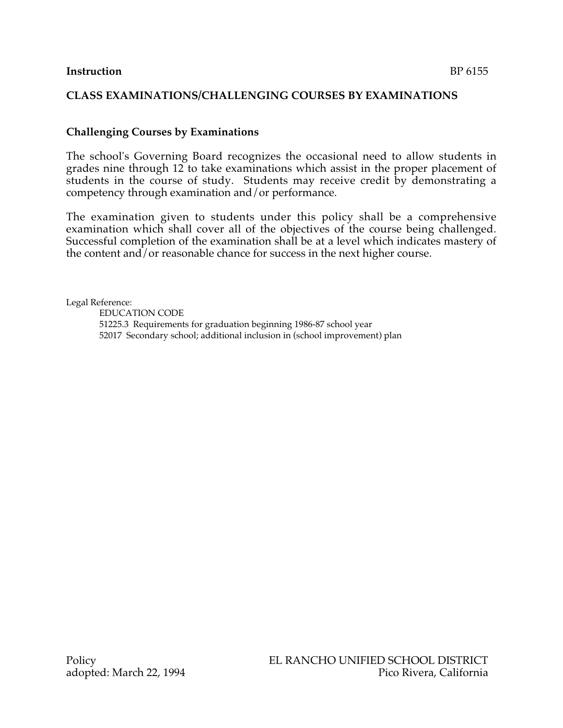### **CLASS EXAMINATIONS/CHALLENGING COURSES BY EXAMINATIONS**

## **Challenging Courses by Examinations**

The school's Governing Board recognizes the occasional need to allow students in grades nine through 12 to take examinations which assist in the proper placement of students in the course of study. Students may receive credit by demonstrating a competency through examination and/or performance.

The examination given to students under this policy shall be a comprehensive examination which shall cover all of the objectives of the course being challenged. Successful completion of the examination shall be at a level which indicates mastery of the content and/or reasonable chance for success in the next higher course.

Legal Reference:

EDUCATION CODE 51225.3 Requirements for graduation beginning 1986-87 school year 52017 Secondary school; additional inclusion in (school improvement) plan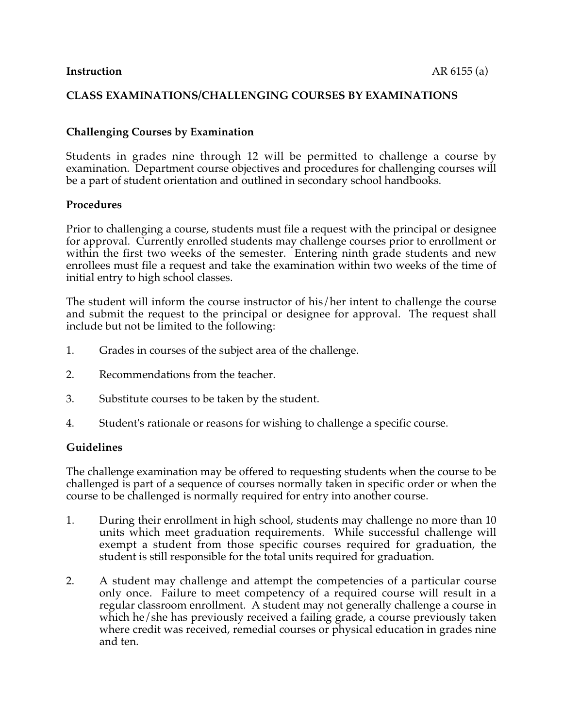### **CLASS EXAMINATIONS/CHALLENGING COURSES BY EXAMINATIONS**

## **Challenging Courses by Examination**

Students in grades nine through 12 will be permitted to challenge a course by examination. Department course objectives and procedures for challenging courses will be a part of student orientation and outlined in secondary school handbooks.

#### **Procedures**

Prior to challenging a course, students must file a request with the principal or designee for approval. Currently enrolled students may challenge courses prior to enrollment or within the first two weeks of the semester. Entering ninth grade students and new enrollees must file a request and take the examination within two weeks of the time of initial entry to high school classes.

The student will inform the course instructor of his/her intent to challenge the course and submit the request to the principal or designee for approval. The request shall include but not be limited to the following:

- 1. Grades in courses of the subject area of the challenge.
- 2. Recommendations from the teacher.
- 3. Substitute courses to be taken by the student.
- 4. Student's rationale or reasons for wishing to challenge a specific course.

#### **Guidelines**

The challenge examination may be offered to requesting students when the course to be challenged is part of a sequence of courses normally taken in specific order or when the course to be challenged is normally required for entry into another course.

- 1. During their enrollment in high school, students may challenge no more than 10 units which meet graduation requirements. While successful challenge will exempt a student from those specific courses required for graduation, the student is still responsible for the total units required for graduation.
- 2. A student may challenge and attempt the competencies of a particular course only once. Failure to meet competency of a required course will result in a regular classroom enrollment. A student may not generally challenge a course in which he/she has previously received a failing grade, a course previously taken where credit was received, remedial courses or physical education in grades nine and ten.